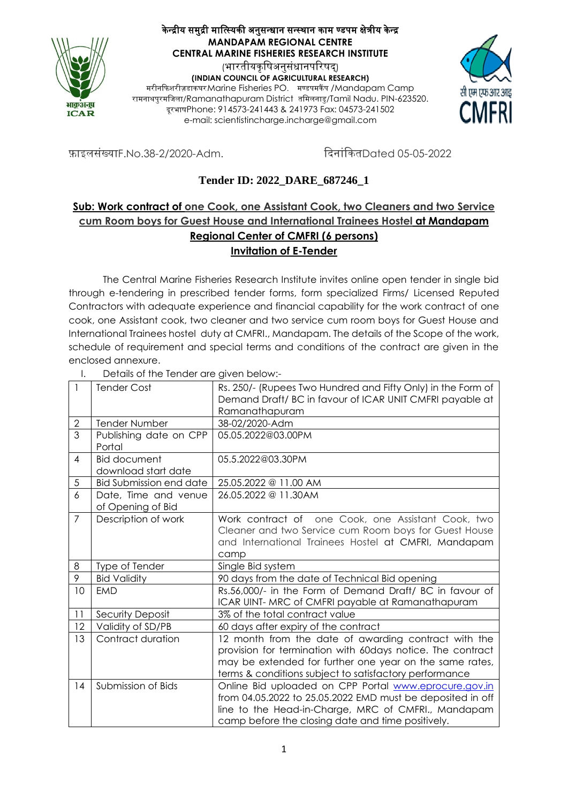

### केन्द्रीय समुद्री मात्स्यिकी अनुसन्धान सन्स्थान काम ण्डपम क्षेत्रीय केन्द्र **MANDAPAM REGIONAL CENTRE CENTRAL MARINE FISHERIES RESEARCH INSTITUTE** (भारतीयकषिअनसंधानपरिषद)

**(INDIAN COUNCIL OF AGRICULTURAL RESEARCH)** मरीनदिशरीज़ड़ािघर**/**Marine Fisheries PO. मण्डपमिैं प /Mandapam Camp रामनाथपुरमजिला/Ramanathapuram District तमिलनाडु/Tamil Nadu. PIN-623520. दूरभाषPhone: 914573-241443 & 241973 Fax: 04573-241502 e-mail: scientistincharge.incharge@gmail.com



फ़ाइलसंख्याF.No.38-2/2020-Adm. दिनांकितDated 05-05-2022

# **Tender ID: 2022\_DARE\_687246\_1**

## **Sub: Work contract of one Cook, one Assistant Cook, two Cleaners and two Service cum Room boys for Guest House and International Trainees Hostel at Mandapam Regional Center of CMFRI (6 persons) Invitation of E-Tender**

The Central Marine Fisheries Research Institute invites online open tender in single bid through e-tendering in prescribed tender forms, form specialized Firms/ Licensed Reputed Contractors with adequate experience and financial capability for the work contract of one cook, one Assistant cook, two cleaner and two service cum room boys for Guest House and International Trainees hostel duty at CMFRI., Mandapam. The details of the Scope of the work, schedule of requirement and special terms and conditions of the contract are given in the enclosed annexure.

| $\overline{\phantom{a}}$ | <b>Tender Cost</b>                         | Rs. 250/- (Rupees Two Hundred and Fifty Only) in the Form of                                                                                                                                                                            |
|--------------------------|--------------------------------------------|-----------------------------------------------------------------------------------------------------------------------------------------------------------------------------------------------------------------------------------------|
|                          |                                            | Demand Draft/BC in favour of ICAR UNIT CMFRI payable at                                                                                                                                                                                 |
|                          |                                            | Ramanathapuram                                                                                                                                                                                                                          |
| $\mathbf{2}$             | <b>Tender Number</b>                       | 38-02/2020-Adm                                                                                                                                                                                                                          |
| 3                        | Publishing date on CPP<br>Portal           | 05.05.2022@03.00PM                                                                                                                                                                                                                      |
| $\overline{4}$           | <b>Bid document</b><br>download start date | 05.5.2022@03.30PM                                                                                                                                                                                                                       |
| 5                        | Bid Submission end date                    | 25.05.2022 @ 11.00 AM                                                                                                                                                                                                                   |
| 6                        | Date, Time and venue<br>of Opening of Bid  | 26.05.2022 @ 11.30AM                                                                                                                                                                                                                    |
| $\overline{7}$           | Description of work                        | Work contract of one Cook, one Assistant Cook, two<br>Cleaner and two Service cum Room boys for Guest House<br>and International Trainees Hostel at CMFRI, Mandapam<br>camp                                                             |
| 8                        | Type of Tender                             | Single Bid system                                                                                                                                                                                                                       |
| $\overline{9}$           | <b>Bid Validity</b>                        | 90 days from the date of Technical Bid opening                                                                                                                                                                                          |
| 10                       | <b>EMD</b>                                 | Rs.56,000/- in the Form of Demand Draft/ BC in favour of<br>ICAR UINT- MRC of CMFRI payable at Ramanathapuram                                                                                                                           |
| 11                       | Security Deposit                           | 3% of the total contract value                                                                                                                                                                                                          |
| 12                       | Validity of SD/PB                          | 60 days after expiry of the contract                                                                                                                                                                                                    |
| 13                       | Contract duration                          | 12 month from the date of awarding contract with the<br>provision for termination with 60days notice. The contract<br>may be extended for further one year on the same rates,<br>terms & conditions subject to satisfactory performance |
| 14                       | Submission of Bids                         | Online Bid uploaded on CPP Portal www.eprocure.gov.in<br>from 04.05.2022 to 25.05.2022 EMD must be deposited in off<br>line to the Head-in-Charge, MRC of CMFRI., Mandapam<br>camp before the closing date and time positively.         |

I. Details of the Tender are given below:-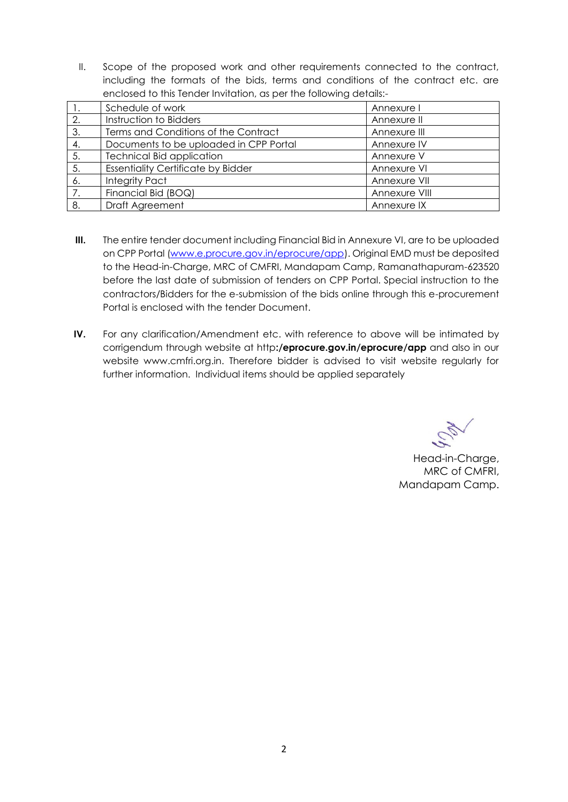II. Scope of the proposed work and other requirements connected to the contract, including the formats of the bids, terms and conditions of the contract etc. are enclosed to this Tender Invitation, as per the following details:-

|     | Schedule of work                          | Annexure I    |
|-----|-------------------------------------------|---------------|
| 2.  | Instruction to Bidders                    | Annexure II   |
| 3.  | Terms and Conditions of the Contract      | Annexure III  |
| 4.  | Documents to be uploaded in CPP Portal    | Annexure IV   |
| 5.  | <b>Technical Bid application</b>          | Annexure V    |
| 5.  | <b>Essentiality Certificate by Bidder</b> | Annexure VI   |
| -6. | <b>Integrity Pact</b>                     | Annexure VII  |
| 7.  | Financial Bid (BOQ)                       | Annexure VIII |
| 8.  | Draft Agreement                           | Annexure IX   |

- **III.** The entire tender document including Financial Bid in Annexure VI, are to be uploaded on CPP Portal [\(www.e.procure.gov.in/eprocure/app\)](http://www.e.procure.gov.in/eprocure/app). Original EMD must be deposited to the Head-in-Charge, MRC of CMFRI, Mandapam Camp, Ramanathapuram-623520 before the last date of submission of tenders on CPP Portal. Special instruction to the contractors/Bidders for the e-submission of the bids online through this e-procurement Portal is enclosed with the tender Document.
- **IV.** For any clarification/Amendment etc. with reference to above will be intimated by corrigendum through website at http**:/eprocure.gov.in/eprocure/app** and also in our website www.cmfri.org.in. Therefore bidder is advised to visit website regularly for further information. Individual items should be applied separately

Head-in-Charge, MRC of CMFRI, Mandapam Camp.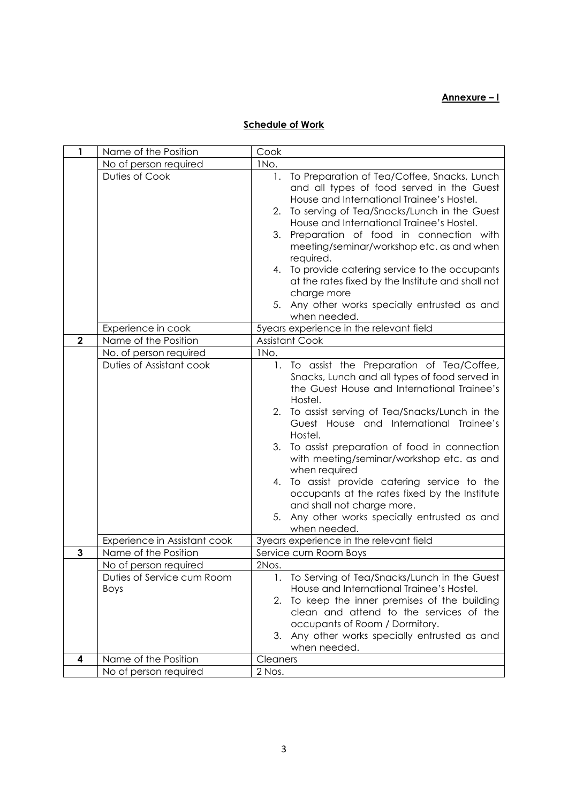#### **Annexure – I**

#### **Schedule of Work**

| 1            | Name of the Position                      | Cook                                                                                                                                                                                                                                                                                                                                                                                                                                                                                                                                                                                           |
|--------------|-------------------------------------------|------------------------------------------------------------------------------------------------------------------------------------------------------------------------------------------------------------------------------------------------------------------------------------------------------------------------------------------------------------------------------------------------------------------------------------------------------------------------------------------------------------------------------------------------------------------------------------------------|
|              | No of person required                     | INo.                                                                                                                                                                                                                                                                                                                                                                                                                                                                                                                                                                                           |
|              | Duties of Cook                            | To Preparation of Tea/Coffee, Snacks, Lunch<br>1.<br>and all types of food served in the Guest<br>House and International Trainee's Hostel.<br>To serving of Tea/Snacks/Lunch in the Guest<br>2.<br>House and International Trainee's Hostel.<br>Preparation of food in connection with<br>3.<br>meeting/seminar/workshop etc. as and when<br>required.                                                                                                                                                                                                                                        |
|              |                                           | 4. To provide catering service to the occupants<br>at the rates fixed by the Institute and shall not<br>charge more<br>5. Any other works specially entrusted as and                                                                                                                                                                                                                                                                                                                                                                                                                           |
|              |                                           | when needed.                                                                                                                                                                                                                                                                                                                                                                                                                                                                                                                                                                                   |
| $\mathbf{2}$ | Experience in cook                        | 5years experience in the relevant field                                                                                                                                                                                                                                                                                                                                                                                                                                                                                                                                                        |
|              | Name of the Position                      | <b>Assistant Cook</b>                                                                                                                                                                                                                                                                                                                                                                                                                                                                                                                                                                          |
|              | No. of person required                    | INo.                                                                                                                                                                                                                                                                                                                                                                                                                                                                                                                                                                                           |
|              | Duties of Assistant cook                  | To assist the Preparation of Tea/Coffee,<br>1.<br>Snacks, Lunch and all types of food served in<br>the Guest House and International Trainee's<br>Hostel.<br>To assist serving of Tea/Snacks/Lunch in the<br>2.<br>Guest House and International Trainee's<br>Hostel.<br>3.<br>To assist preparation of food in connection<br>with meeting/seminar/workshop etc. as and<br>when required<br>To assist provide catering service to the<br>4.<br>occupants at the rates fixed by the Institute<br>and shall not charge more.<br>Any other works specially entrusted as and<br>5.<br>when needed. |
|              | Experience in Assistant cook              | 3years experience in the relevant field                                                                                                                                                                                                                                                                                                                                                                                                                                                                                                                                                        |
| $\mathbf{3}$ | Name of the Position                      | Service cum Room Boys                                                                                                                                                                                                                                                                                                                                                                                                                                                                                                                                                                          |
|              | No of person required                     | 2Nos.                                                                                                                                                                                                                                                                                                                                                                                                                                                                                                                                                                                          |
|              | Duties of Service cum Room<br><b>Boys</b> | 1. To Serving of Tea/Snacks/Lunch in the Guest<br>House and International Trainee's Hostel.<br>2.<br>To keep the inner premises of the building<br>clean and attend to the services of the<br>occupants of Room / Dormitory.<br>3.<br>Any other works specially entrusted as and<br>when needed.                                                                                                                                                                                                                                                                                               |
| 4            | Name of the Position                      | Cleaners                                                                                                                                                                                                                                                                                                                                                                                                                                                                                                                                                                                       |
|              | No of person required                     | 2 Nos.                                                                                                                                                                                                                                                                                                                                                                                                                                                                                                                                                                                         |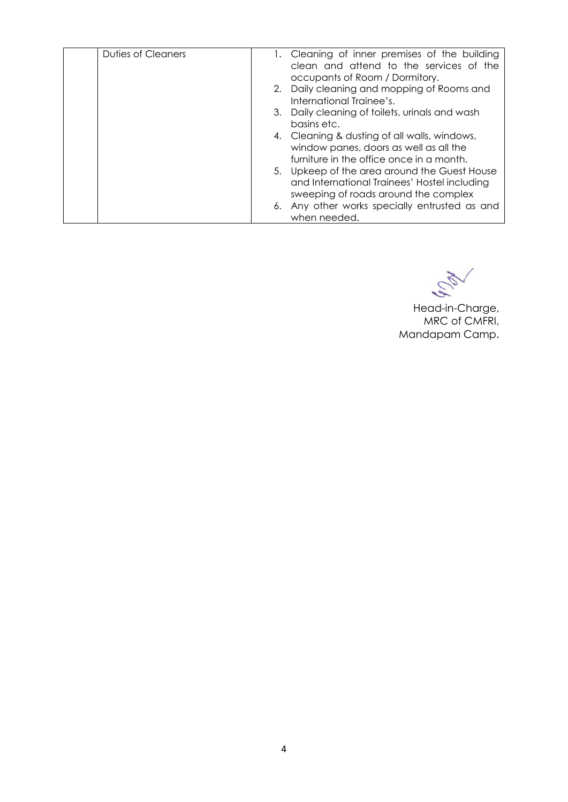| Duties of Cleaners | 1. Cleaning of inner premises of the building<br>clean and attend to the services of the<br>occupants of Room / Dormitory.           |
|--------------------|--------------------------------------------------------------------------------------------------------------------------------------|
|                    | 2. Daily cleaning and mopping of Rooms and<br>International Trainee's.                                                               |
|                    | 3. Daily cleaning of toilets, urinals and wash<br>basins etc.                                                                        |
|                    | 4. Cleaning & dusting of all walls, windows,<br>window panes, doors as well as all the<br>furniture in the office once in a month.   |
|                    | 5. Upkeep of the area around the Guest House<br>and International Trainees' Hostel including<br>sweeping of roads around the complex |
|                    | 6. Any other works specially entrusted as and<br>when needed.                                                                        |

NON

Head-in-Charge, MRC of CMFRI, Mandapam Camp.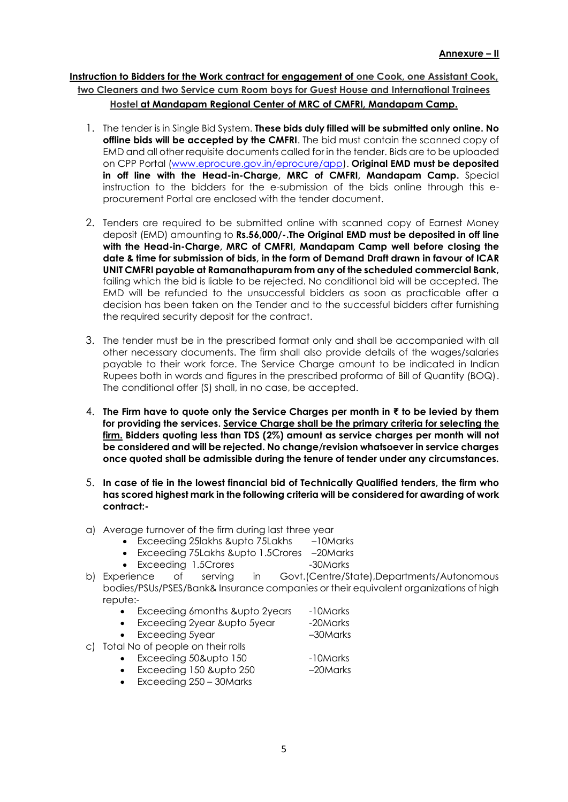## **Instruction to Bidders for the Work contract for engagement of one Cook, one Assistant Cook, two Cleaners and two Service cum Room boys for Guest House and International Trainees Hostel at Mandapam Regional Center of MRC of CMFRI, Mandapam Camp.**

- 1. The tender is in Single Bid System. **These bids duly filled will be submitted only online. No offline bids will be accepted by the CMFRI**. The bid must contain the scanned copy of EMD and all other requisite documents called for in the tender. Bids are to be uploaded on CPP Portal [\(www.eprocure.gov.in/eprocure/app\)](http://www.eprocure.gov.in/eprocure/app). **Original EMD must be deposited in off line with the Head-in-Charge, MRC of CMFRI, Mandapam Camp.** Special instruction to the bidders for the e-submission of the bids online through this eprocurement Portal are enclosed with the tender document.
- 2. Tenders are required to be submitted online with scanned copy of Earnest Money deposit (EMD) amounting to **Rs.56,000/-.The Original EMD must be deposited in off line with the Head-in-Charge, MRC of CMFRI, Mandapam Camp well before closing the date & time for submission of bids, in the form of Demand Draft drawn in favour of ICAR UNIT CMFRI payable at Ramanathapuram from any of the scheduled commercial Bank,** failing which the bid is liable to be rejected. No conditional bid will be accepted. The EMD will be refunded to the unsuccessful bidders as soon as practicable after a decision has been taken on the Tender and to the successful bidders after furnishing the required security deposit for the contract.
- 3. The tender must be in the prescribed format only and shall be accompanied with all other necessary documents. The firm shall also provide details of the wages/salaries payable to their work force. The Service Charge amount to be indicated in Indian Rupees both in words and figures in the prescribed proforma of Bill of Quantity (BOQ). The conditional offer (S) shall, in no case, be accepted.
- 4. **The Firm have to quote only the Service Charges per month in ₹ to be levied by them for providing the services. Service Charge shall be the primary criteria for selecting the firm. Bidders quoting less than TDS (2%) amount as service charges per month will not be considered and will be rejected. No change/revision whatsoever in service charges once quoted shall be admissible during the tenure of tender under any circumstances.**
- 5. **In case of tie in the lowest financial bid of Technically Qualified tenders, the firm who has scored highest mark in the following criteria will be considered for awarding of work contract:-**
- a) Average turnover of the firm during last three year
	- Exceeding 25lakhs &upto 75Lakhs –10Marks
	- Exceeding 75Lakhs &upto 1.5Crores –20Marks
	- Exceeding 1.5Crores -30Marks
- b) Experience of serving in Govt.(Centre/State),Departments/Autonomous bodies/PSUs/PSES/Bank& Insurance companies or their equivalent organizations of high repute:-
	- Exceeding 6months &upto 2years -10Marks
	- Exceeding 2year &upto 5year -20Marks
	- Exceeding 5year –30Marks
- c) Total No of people on their rolls
	- Exceeding 50&upto 150 -10Marks
	- Exceeding 150 &upto 250 -20Marks
	- Exceeding 250 30Marks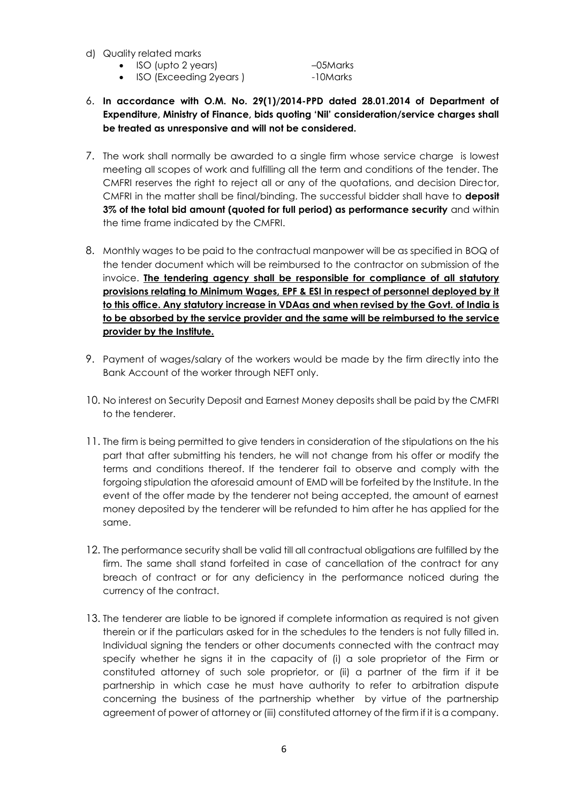- d) Quality related marks
	- ISO (upto 2 years) –05Marks

ISO (Exceeding 2years ) -10Marks

- 6. **In accordance with O.M. No. 29(1)/2014-PPD dated 28.01.2014 of Department of Expenditure, Ministry of Finance, bids quoting 'Nil' consideration/service charges shall be treated as unresponsive and will not be considered.**
- 7. The work shall normally be awarded to a single firm whose service charge is lowest meeting all scopes of work and fulfilling all the term and conditions of the tender. The CMFRI reserves the right to reject all or any of the quotations, and decision Director, CMFRI in the matter shall be final/binding. The successful bidder shall have to **deposit 3% of the total bid amount (quoted for full period) as performance security** and within the time frame indicated by the CMFRI.
- 8. Monthly wages to be paid to the contractual manpower will be as specified in BOQ of the tender document which will be reimbursed to the contractor on submission of the invoice. **The tendering agency shall be responsible for compliance of all statutory provisions relating to Minimum Wages, EPF & ESI in respect of personnel deployed by it to this office. Any statutory increase in VDAas and when revised by the Govt. of India is to be absorbed by the service provider and the same will be reimbursed to the service provider by the Institute.**
- 9. Payment of wages/salary of the workers would be made by the firm directly into the Bank Account of the worker through NEFT only.
- 10. No interest on Security Deposit and Earnest Money deposits shall be paid by the CMFRI to the tenderer.
- 11. The firm is being permitted to give tenders in consideration of the stipulations on the his part that after submitting his tenders, he will not change from his offer or modify the terms and conditions thereof. If the tenderer fail to observe and comply with the forgoing stipulation the aforesaid amount of EMD will be forfeited by the Institute. In the event of the offer made by the tenderer not being accepted, the amount of earnest money deposited by the tenderer will be refunded to him after he has applied for the same.
- 12. The performance security shall be valid till all contractual obligations are fulfilled by the firm. The same shall stand forfeited in case of cancellation of the contract for any breach of contract or for any deficiency in the performance noticed during the currency of the contract.
- 13. The tenderer are liable to be ignored if complete information as required is not given therein or if the particulars asked for in the schedules to the tenders is not fully filled in. Individual signing the tenders or other documents connected with the contract may specify whether he signs it in the capacity of (i) a sole proprietor of the Firm or constituted attorney of such sole proprietor, or (ii) a partner of the firm if it be partnership in which case he must have authority to refer to arbitration dispute concerning the business of the partnership whether by virtue of the partnership agreement of power of attorney or (iii) constituted attorney of the firm if it is a company.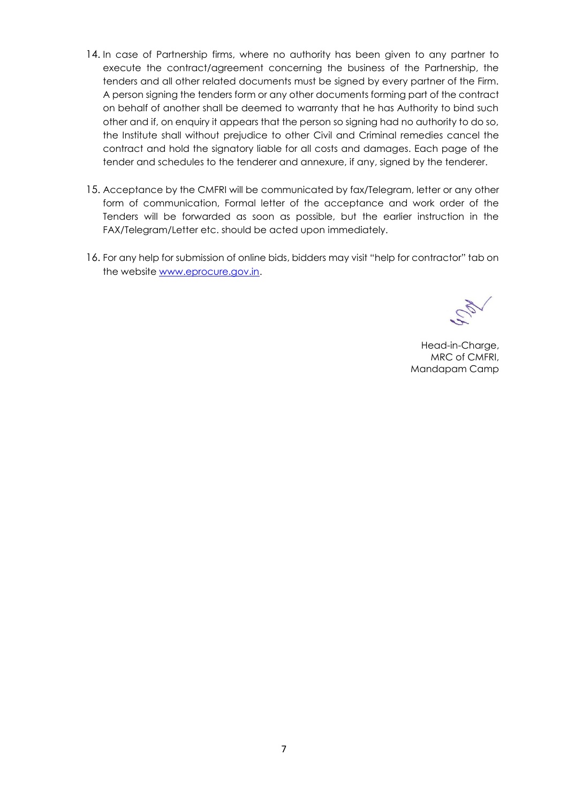- 14. In case of Partnership firms, where no authority has been given to any partner to execute the contract/agreement concerning the business of the Partnership, the tenders and all other related documents must be signed by every partner of the Firm. A person signing the tenders form or any other documents forming part of the contract on behalf of another shall be deemed to warranty that he has Authority to bind such other and if, on enquiry it appears that the person so signing had no authority to do so, the Institute shall without prejudice to other Civil and Criminal remedies cancel the contract and hold the signatory liable for all costs and damages. Each page of the tender and schedules to the tenderer and annexure, if any, signed by the tenderer.
- 15. Acceptance by the CMFRI will be communicated by fax/Telegram, letter or any other form of communication, Formal letter of the acceptance and work order of the Tenders will be forwarded as soon as possible, but the earlier instruction in the FAX/Telegram/Letter etc. should be acted upon immediately.
- 16. For any help for submission of online bids, bidders may visit "help for contractor" tab on the website [www.eprocure.gov.in.](http://www.eprocure.gov.in/)

Head-in-Charge, MRC of CMFRI, Mandapam Camp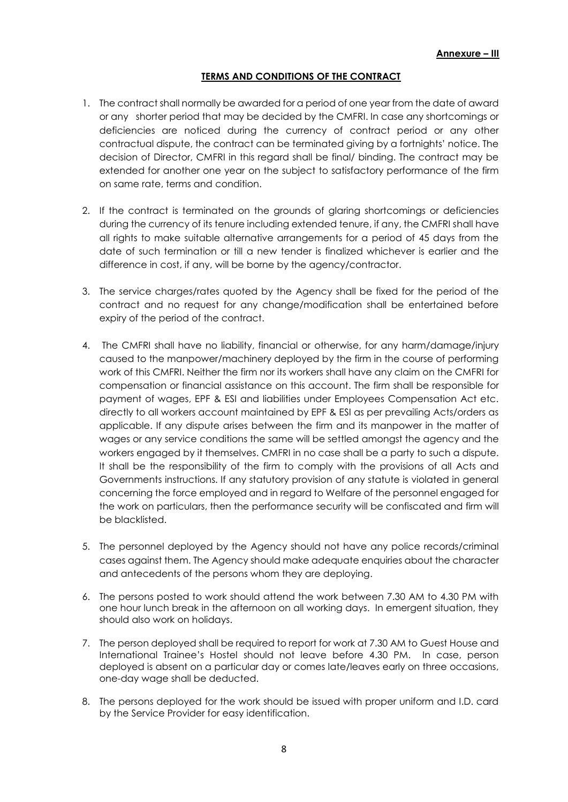#### **TERMS AND CONDITIONS OF THE CONTRACT**

- 1. The contract shall normally be awarded for a period of one year from the date of award or any shorter period that may be decided by the CMFRI. In case any shortcomings or deficiencies are noticed during the currency of contract period or any other contractual dispute, the contract can be terminated giving by a fortnights' notice. The decision of Director, CMFRI in this regard shall be final/ binding. The contract may be extended for another one year on the subject to satisfactory performance of the firm on same rate, terms and condition.
- 2. If the contract is terminated on the grounds of glaring shortcomings or deficiencies during the currency of its tenure including extended tenure, if any, the CMFRI shall have all rights to make suitable alternative arrangements for a period of 45 days from the date of such termination or till a new tender is finalized whichever is earlier and the difference in cost, if any, will be borne by the agency/contractor.
- 3. The service charges/rates quoted by the Agency shall be fixed for the period of the contract and no request for any change/modification shall be entertained before expiry of the period of the contract.
- 4. The CMFRI shall have no liability, financial or otherwise, for any harm/damage/injury caused to the manpower/machinery deployed by the firm in the course of performing work of this CMFRI. Neither the firm nor its workers shall have any claim on the CMFRI for compensation or financial assistance on this account. The firm shall be responsible for payment of wages, EPF & ESI and liabilities under Employees Compensation Act etc. directly to all workers account maintained by EPF & ESI as per prevailing Acts/orders as applicable. If any dispute arises between the firm and its manpower in the matter of wages or any service conditions the same will be settled amongst the agency and the workers engaged by it themselves. CMFRI in no case shall be a party to such a dispute. It shall be the responsibility of the firm to comply with the provisions of all Acts and Governments instructions. If any statutory provision of any statute is violated in general concerning the force employed and in regard to Welfare of the personnel engaged for the work on particulars, then the performance security will be confiscated and firm will be blacklisted.
- 5. The personnel deployed by the Agency should not have any police records/criminal cases against them. The Agency should make adequate enquiries about the character and antecedents of the persons whom they are deploying.
- 6. The persons posted to work should attend the work between 7.30 AM to 4.30 PM with one hour lunch break in the afternoon on all working days. In emergent situation, they should also work on holidays.
- 7. The person deployed shall be required to report for work at 7.30 AM to Guest House and International Trainee's Hostel should not leave before 4.30 PM. In case, person deployed is absent on a particular day or comes late/leaves early on three occasions, one-day wage shall be deducted.
- 8. The persons deployed for the work should be issued with proper uniform and I.D. card by the Service Provider for easy identification.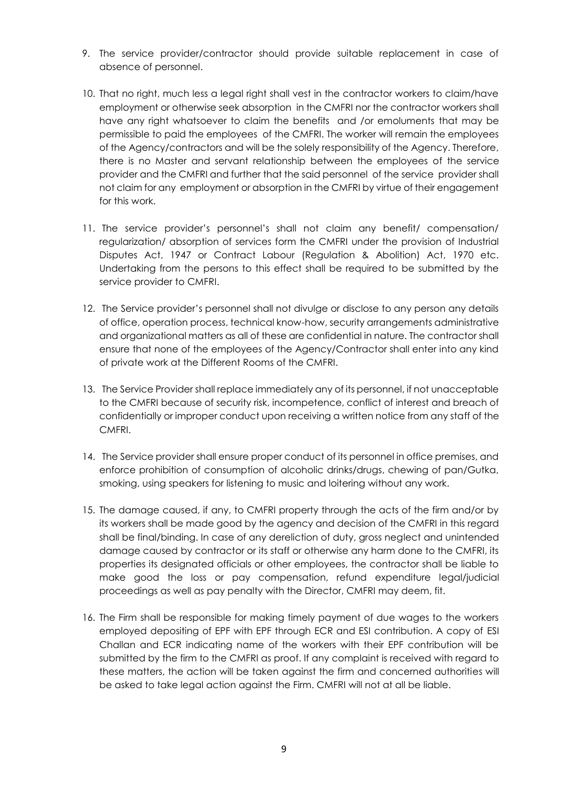- 9. The service provider/contractor should provide suitable replacement in case of absence of personnel.
- 10. That no right, much less a legal right shall vest in the contractor workers to claim/have employment or otherwise seek absorption in the CMFRI nor the contractor workers shall have any right whatsoever to claim the benefits and /or emoluments that may be permissible to paid the employees of the CMFRI. The worker will remain the employees of the Agency/contractors and will be the solely responsibility of the Agency. Therefore, there is no Master and servant relationship between the employees of the service provider and the CMFRI and further that the said personnel of the service provider shall not claim for any employment or absorption in the CMFRI by virtue of their engagement for this work.
- 11. The service provider's personnel's shall not claim any benefit/ compensation/ regularization/ absorption of services form the CMFRI under the provision of Industrial Disputes Act, 1947 or Contract Labour (Regulation & Abolition) Act, 1970 etc. Undertaking from the persons to this effect shall be required to be submitted by the service provider to CMFRI.
- 12. The Service provider's personnel shall not divulge or disclose to any person any details of office, operation process, technical know-how, security arrangements administrative and organizational matters as all of these are confidential in nature. The contractor shall ensure that none of the employees of the Agency/Contractor shall enter into any kind of private work at the Different Rooms of the CMFRI.
- 13. The Service Provider shall replace immediately any of its personnel, if not unacceptable to the CMFRI because of security risk, incompetence, conflict of interest and breach of confidentially or improper conduct upon receiving a written notice from any staff of the CMFRI.
- 14. The Service provider shall ensure proper conduct of its personnel in office premises, and enforce prohibition of consumption of alcoholic drinks/drugs, chewing of pan/Gutka, smoking, using speakers for listening to music and loitering without any work.
- 15. The damage caused, if any, to CMFRI property through the acts of the firm and/or by its workers shall be made good by the agency and decision of the CMFRI in this regard shall be final/binding. In case of any dereliction of duty, gross neglect and unintended damage caused by contractor or its staff or otherwise any harm done to the CMFRI, its properties its designated officials or other employees, the contractor shall be liable to make good the loss or pay compensation, refund expenditure legal/judicial proceedings as well as pay penalty with the Director, CMFRI may deem, fit.
- 16. The Firm shall be responsible for making timely payment of due wages to the workers employed depositing of EPF with EPF through ECR and ESI contribution. A copy of ESI Challan and ECR indicating name of the workers with their EPF contribution will be submitted by the firm to the CMFRI as proof. If any complaint is received with regard to these matters, the action will be taken against the firm and concerned authorities will be asked to take legal action against the Firm. CMFRI will not at all be liable.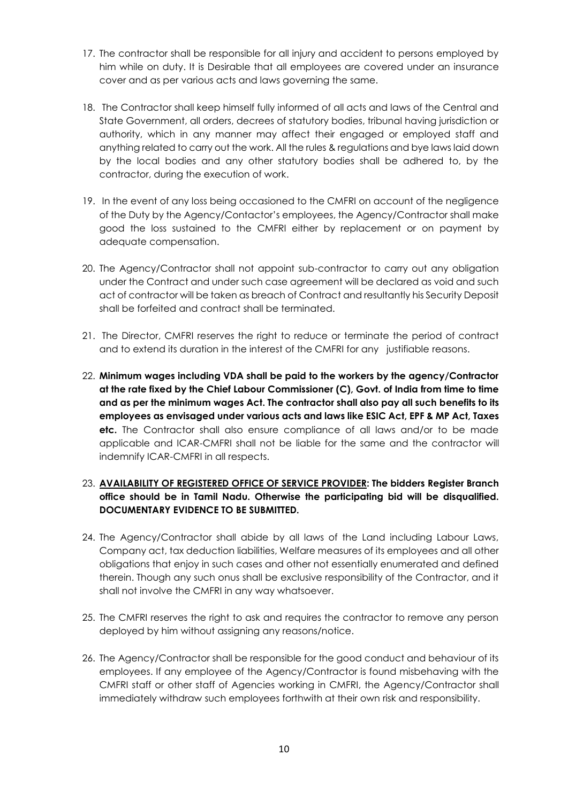- 17. The contractor shall be responsible for all injury and accident to persons employed by him while on duty. It is Desirable that all employees are covered under an insurance cover and as per various acts and laws governing the same.
- 18. The Contractor shall keep himself fully informed of all acts and laws of the Central and State Government, all orders, decrees of statutory bodies, tribunal having jurisdiction or authority, which in any manner may affect their engaged or employed staff and anything related to carry out the work. All the rules & regulations and bye laws laid down by the local bodies and any other statutory bodies shall be adhered to, by the contractor, during the execution of work.
- 19. In the event of any loss being occasioned to the CMFRI on account of the negligence of the Duty by the Agency/Contactor's employees, the Agency/Contractor shall make good the loss sustained to the CMFRI either by replacement or on payment by adequate compensation.
- 20. The Agency/Contractor shall not appoint sub-contractor to carry out any obligation under the Contract and under such case agreement will be declared as void and such act of contractor will be taken as breach of Contract and resultantly his Security Deposit shall be forfeited and contract shall be terminated.
- 21. The Director, CMFRI reserves the right to reduce or terminate the period of contract and to extend its duration in the interest of the CMFRI for any justifiable reasons.
- 22. **Minimum wages including VDA shall be paid to the workers by the agency/Contractor at the rate fixed by the Chief Labour Commissioner (C), Govt. of India from time to time and as per the minimum wages Act. The contractor shall also pay all such benefits to its employees as envisaged under various acts and laws like ESIC Act, EPF & MP Act, Taxes etc.** The Contractor shall also ensure compliance of all laws and/or to be made applicable and ICAR-CMFRI shall not be liable for the same and the contractor will indemnify ICAR-CMFRI in all respects.

## 23. **AVAILABILITY OF REGISTERED OFFICE OF SERVICE PROVIDER: The bidders Register Branch office should be in Tamil Nadu. Otherwise the participating bid will be disqualified. DOCUMENTARY EVIDENCE TO BE SUBMITTED.**

- 24. The Agency/Contractor shall abide by all laws of the Land including Labour Laws, Company act, tax deduction liabilities, Welfare measures of its employees and all other obligations that enjoy in such cases and other not essentially enumerated and defined therein. Though any such onus shall be exclusive responsibility of the Contractor, and it shall not involve the CMFRI in any way whatsoever.
- 25. The CMFRI reserves the right to ask and requires the contractor to remove any person deployed by him without assigning any reasons/notice.
- 26. The Agency/Contractor shall be responsible for the good conduct and behaviour of its employees. If any employee of the Agency/Contractor is found misbehaving with the CMFRI staff or other staff of Agencies working in CMFRI, the Agency/Contractor shall immediately withdraw such employees forthwith at their own risk and responsibility.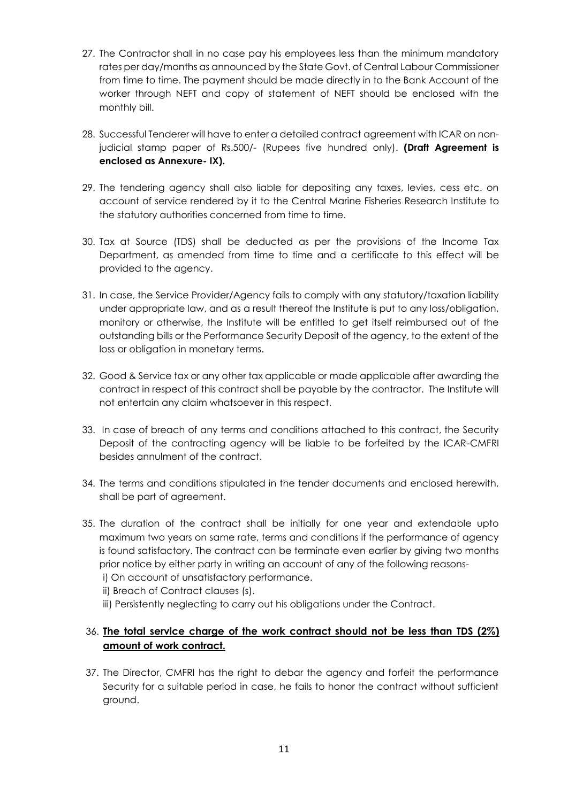- 27. The Contractor shall in no case pay his employees less than the minimum mandatory rates per day/months as announced by the State Govt. of Central Labour Commissioner from time to time. The payment should be made directly in to the Bank Account of the worker through NEFT and copy of statement of NEFT should be enclosed with the monthly bill.
- 28. Successful Tenderer will have to enter a detailed contract agreement with ICAR on nonjudicial stamp paper of Rs.500/- (Rupees five hundred only). **(Draft Agreement is enclosed as Annexure- IX).**
- 29. The tendering agency shall also liable for depositing any taxes, levies, cess etc. on account of service rendered by it to the Central Marine Fisheries Research Institute to the statutory authorities concerned from time to time.
- 30. Tax at Source (TDS) shall be deducted as per the provisions of the Income Tax Department, as amended from time to time and a certificate to this effect will be provided to the agency.
- 31. In case, the Service Provider/Agency fails to comply with any statutory/taxation liability under appropriate law, and as a result thereof the Institute is put to any loss/obligation, monitory or otherwise, the Institute will be entitled to get itself reimbursed out of the outstanding bills or the Performance Security Deposit of the agency, to the extent of the loss or obligation in monetary terms.
- 32. Good & Service tax or any other tax applicable or made applicable after awarding the contract in respect of this contract shall be payable by the contractor. The Institute will not entertain any claim whatsoever in this respect.
- 33. In case of breach of any terms and conditions attached to this contract, the Security Deposit of the contracting agency will be liable to be forfeited by the ICAR-CMFRI besides annulment of the contract.
- 34. The terms and conditions stipulated in the tender documents and enclosed herewith, shall be part of agreement.
- 35. The duration of the contract shall be initially for one year and extendable upto maximum two years on same rate, terms and conditions if the performance of agency is found satisfactory. The contract can be terminate even earlier by giving two months prior notice by either party in writing an account of any of the following reasonsi) On account of unsatisfactory performance.
	- ii) Breach of Contract clauses (s).
	- iii) Persistently neglecting to carry out his obligations under the Contract.

## 36. **The total service charge of the work contract should not be less than TDS (2%) amount of work contract.**

37. The Director, CMFRI has the right to debar the agency and forfeit the performance Security for a suitable period in case, he fails to honor the contract without sufficient ground.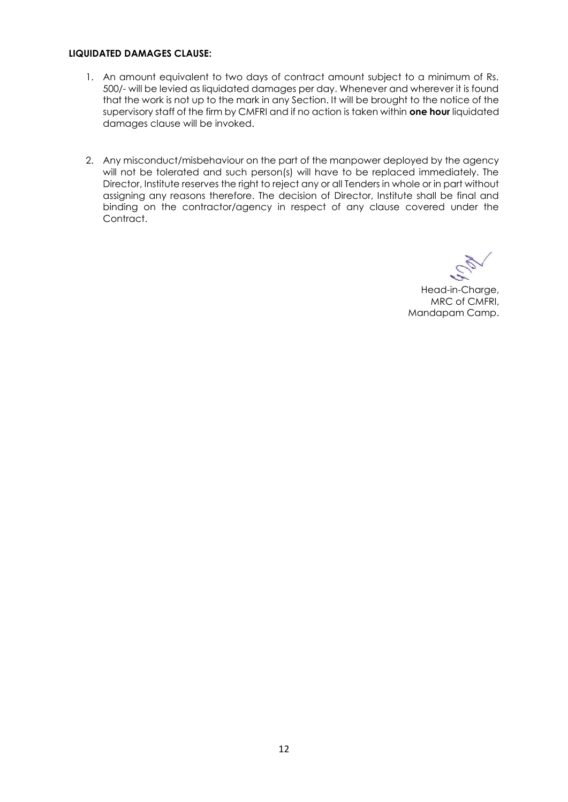#### **LIQUIDATED DAMAGES CLAUSE:**

- 1. An amount equivalent to two days of contract amount subject to a minimum of Rs. 500/- will be levied as liquidated damages per day. Whenever and wherever it is found that the work is not up to the mark in any Section. It wiII be brought to the notice of the supervisory staff of the firm by CMFRI and if no action is taken within **one hour** liquidated damages clause will be invoked.
- 2. Any misconduct/misbehaviour on the part of the manpower deployed by the agency will not be tolerated and such person(s) will have to be replaced immediately. The Director, Institute reserves the right to reject any or all Tenders in whole or in part without assigning any reasons therefore. The decision of Director, Institute shall be final and binding on the contractor/agency in respect of any clause covered under the Contract.

Head-in-Charge, MRC of CMFRI, Mandapam Camp.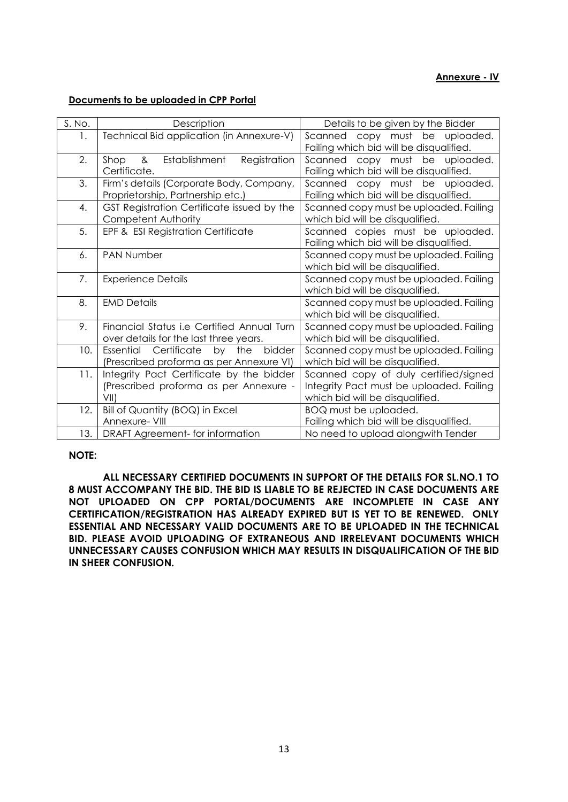#### **Annexure - IV**

#### **Documents to be uploaded in CPP Portal**

| S. No. | Description                                                                                 | Details to be given by the Bidder                                                                                    |  |  |
|--------|---------------------------------------------------------------------------------------------|----------------------------------------------------------------------------------------------------------------------|--|--|
| 1.     | Technical Bid application (in Annexure-V)                                                   | Scanned copy must be uploaded.<br>Failing which bid will be disqualified.                                            |  |  |
| 2.     | Establishment<br>Registration<br>Shop<br>&<br>Certificate.                                  | Scanned copy must<br>be uploaded.<br>Failing which bid will be disqualified.                                         |  |  |
| 3.     | Firm's details (Corporate Body, Company,<br>Proprietorship, Partnership etc.)               | Scanned copy must<br>be uploaded.<br>Failing which bid will be disqualified.                                         |  |  |
| 4.     | GST Registration Certificate issued by the<br>Competent Authority                           | Scanned copy must be uploaded. Failing<br>which bid will be disqualified.                                            |  |  |
| 5.     | EPF & ESI Registration Certificate                                                          | Scanned copies must be uploaded.<br>Failing which bid will be disqualified.                                          |  |  |
| 6.     | PAN Number                                                                                  | Scanned copy must be uploaded. Failing<br>which bid will be disqualified.                                            |  |  |
| 7.     | <b>Experience Details</b>                                                                   | Scanned copy must be uploaded. Failing<br>which bid will be disqualified.                                            |  |  |
| 8.     | <b>EMD Details</b>                                                                          | Scanned copy must be uploaded. Failing<br>which bid will be disqualified.                                            |  |  |
| 9.     | Financial Status <i>i.e</i> Certified Annual Turn<br>over details for the last three years. | Scanned copy must be uploaded. Failing<br>which bid will be disqualified.                                            |  |  |
| 10.    | Essential Certificate<br>the<br>bidder<br>by<br>(Prescribed proforma as per Annexure VI)    | Scanned copy must be uploaded. Failing<br>which bid will be disqualified.                                            |  |  |
| 11.    | Integrity Pact Certificate by the bidder<br>(Prescribed proforma as per Annexure -<br>VII)  | Scanned copy of duly certified/signed<br>Integrity Pact must be uploaded. Failing<br>which bid will be disqualified. |  |  |
| 12.    | Bill of Quantity (BOQ) in Excel<br>Annexure- VIII                                           | BOQ must be uploaded.<br>Failing which bid will be disqualified.                                                     |  |  |
| 13.1   | DRAFT Agreement- for information                                                            | No need to upload alongwith Tender                                                                                   |  |  |

#### **NOTE:**

**ALL NECESSARY CERTIFIED DOCUMENTS IN SUPPORT OF THE DETAILS FOR SL.NO.1 TO 8 MUST ACCOMPANY THE BID. THE BID IS LIABLE TO BE REJECTED IN CASE DOCUMENTS ARE NOT UPLOADED ON CPP PORTAL/DOCUMENTS ARE INCOMPLETE IN CASE ANY CERTIFICATION/REGISTRATION HAS ALREADY EXPIRED BUT IS YET TO BE RENEWED. ONLY ESSENTIAL AND NECESSARY VALID DOCUMENTS ARE TO BE UPLOADED IN THE TECHNICAL BID. PLEASE AVOID UPLOADING OF EXTRANEOUS AND IRRELEVANT DOCUMENTS WHICH UNNECESSARY CAUSES CONFUSION WHICH MAY RESULTS IN DISQUALIFICATION OF THE BID IN SHEER CONFUSION.**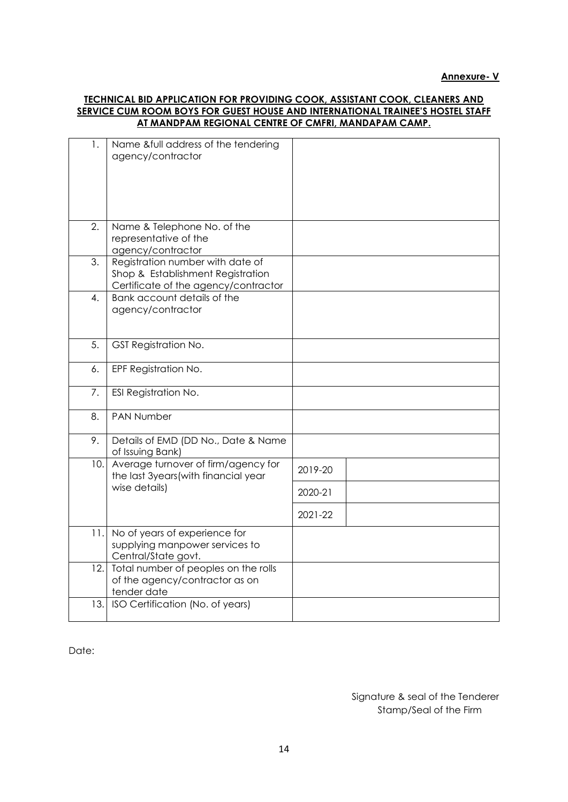#### **TECHNICAL BID APPLICATION FOR PROVIDING COOK, ASSISTANT COOK, CLEANERS AND SERVICE CUM ROOM BOYS FOR GUEST HOUSE AND INTERNATIONAL TRAINEE'S HOSTEL STAFF AT MANDPAM REGIONAL CENTRE OF CMFRI, MANDAPAM CAMP.**

| 1.   | Name &full address of the tendering<br>agency/contractor                                                      |         |
|------|---------------------------------------------------------------------------------------------------------------|---------|
| 2.   | Name & Telephone No. of the<br>representative of the<br>agency/contractor                                     |         |
| 3.   | Registration number with date of<br>Shop & Establishment Registration<br>Certificate of the agency/contractor |         |
| 4.   | Bank account details of the<br>agency/contractor                                                              |         |
| 5.   | <b>GST Registration No.</b>                                                                                   |         |
| 6.   | EPF Registration No.                                                                                          |         |
| 7.   | ESI Registration No.                                                                                          |         |
| 8.   | <b>PAN Number</b>                                                                                             |         |
| 9.   | Details of EMD (DD No., Date & Name<br>of Issuing Bank)                                                       |         |
| 10.  | Average turnover of firm/agency for<br>the last 3years (with financial year                                   | 2019-20 |
|      | wise details)                                                                                                 | 2020-21 |
|      |                                                                                                               | 2021-22 |
| 11.1 | No of years of experience for<br>supplying manpower services to<br>Central/State govt.                        |         |
| 12.  | Total number of peoples on the rolls<br>of the agency/contractor as on<br>tender date                         |         |
| 13.  | ISO Certification (No. of years)                                                                              |         |

Date:

Signature & seal of the Tenderer Stamp/Seal of the Firm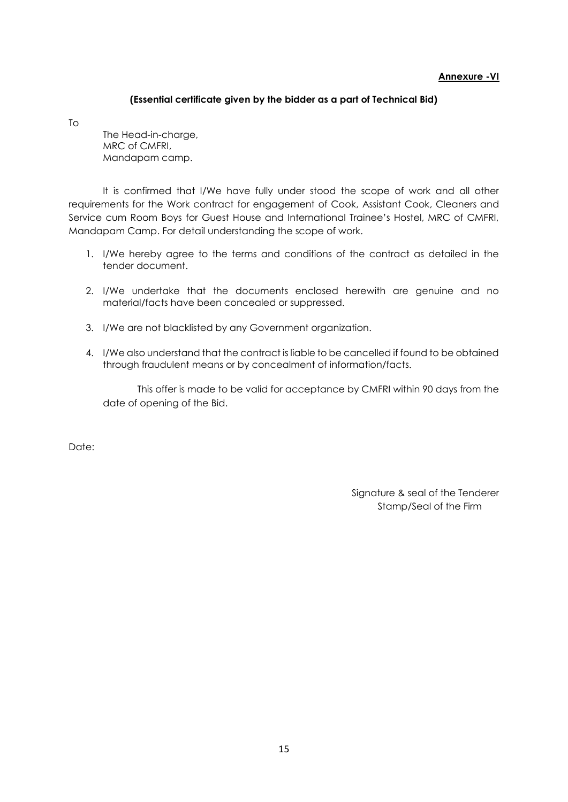#### **Annexure -VI**

#### **(Essential certificate given by the bidder as a part of Technical Bid)**

To

The Head-in-charge, MRC of CMFRI, Mandapam camp.

It is confirmed that I/We have fully under stood the scope of work and all other requirements for the Work contract for engagement of Cook, Assistant Cook, Cleaners and Service cum Room Boys for Guest House and International Trainee's Hostel, MRC of CMFRI, Mandapam Camp. For detail understanding the scope of work.

- 1. I/We hereby agree to the terms and conditions of the contract as detailed in the tender document.
- 2. I/We undertake that the documents enclosed herewith are genuine and no material/facts have been concealed or suppressed.
- 3. I/We are not blacklisted by any Government organization.
- 4. I/We also understand that the contract is liable to be cancelled if found to be obtained through fraudulent means or by concealment of information/facts.

This offer is made to be valid for acceptance by CMFRI within 90 days from the date of opening of the Bid.

Date:

Signature & seal of the Tenderer Stamp/Seal of the Firm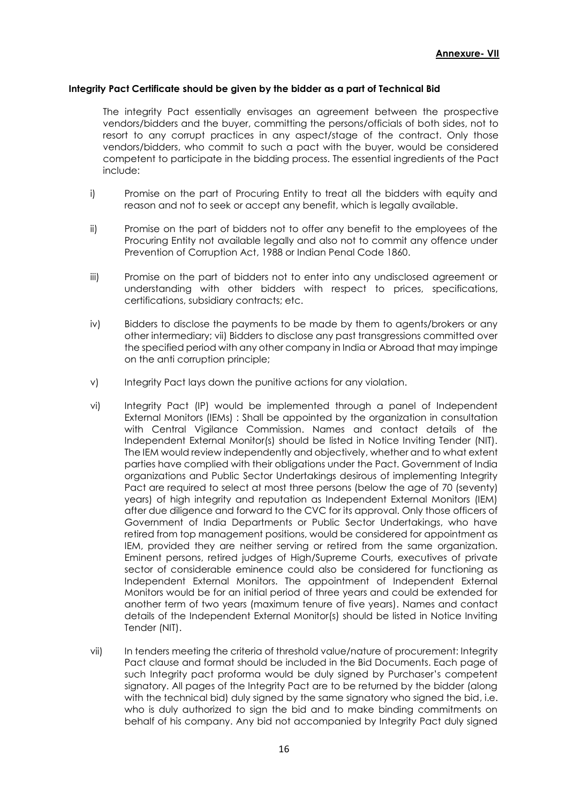#### **Integrity Pact Certificate should be given by the bidder as a part of Technical Bid**

The integrity Pact essentially envisages an agreement between the prospective vendors/bidders and the buyer, committing the persons/officials of both sides, not to resort to any corrupt practices in any aspect/stage of the contract. Only those vendors/bidders, who commit to such a pact with the buyer, would be considered competent to participate in the bidding process. The essential ingredients of the Pact include:

- i) Promise on the part of Procuring Entity to treat all the bidders with equity and reason and not to seek or accept any benefit, which is legally available.
- ii) Promise on the part of bidders not to offer any benefit to the employees of the Procuring Entity not available legally and also not to commit any offence under Prevention of Corruption Act, 1988 or Indian Penal Code 1860.
- iii) Promise on the part of bidders not to enter into any undisclosed agreement or understanding with other bidders with respect to prices, specifications, certifications, subsidiary contracts; etc.
- iv) Bidders to disclose the payments to be made by them to agents/brokers or any other intermediary; vii) Bidders to disclose any past transgressions committed over the specified period with any other company in India or Abroad that may impinge on the anti corruption principle;
- v) Integrity Pact lays down the punitive actions for any violation.
- vi) Integrity Pact (IP) would be implemented through a panel of Independent External Monitors (IEMs) : Shall be appointed by the organization in consultation with Central Vigilance Commission. Names and contact details of the Independent External Monitor(s) should be listed in Notice Inviting Tender (NIT). The IEM would review independently and objectively, whether and to what extent parties have complied with their obligations under the Pact. Government of India organizations and Public Sector Undertakings desirous of implementing Integrity Pact are required to select at most three persons (below the age of 70 (seventy) years) of high integrity and reputation as Independent External Monitors (IEM) after due diligence and forward to the CVC for its approval. Only those officers of Government of India Departments or Public Sector Undertakings, who have retired from top management positions, would be considered for appointment as IEM, provided they are neither serving or retired from the same organization. Eminent persons, retired judges of High/Supreme Courts, executives of private sector of considerable eminence could also be considered for functioning as Independent External Monitors. The appointment of Independent External Monitors would be for an initial period of three years and could be extended for another term of two years (maximum tenure of five years). Names and contact details of the Independent External Monitor(s) should be listed in Notice Inviting Tender (NIT).
- vii) In tenders meeting the criteria of threshold value/nature of procurement: Integrity Pact clause and format should be included in the Bid Documents. Each page of such Integrity pact proforma would be duly signed by Purchaser's competent signatory. All pages of the Integrity Pact are to be returned by the bidder (along with the technical bid) duly signed by the same signatory who signed the bid, i.e. who is duly authorized to sign the bid and to make binding commitments on behalf of his company. Any bid not accompanied by Integrity Pact duly signed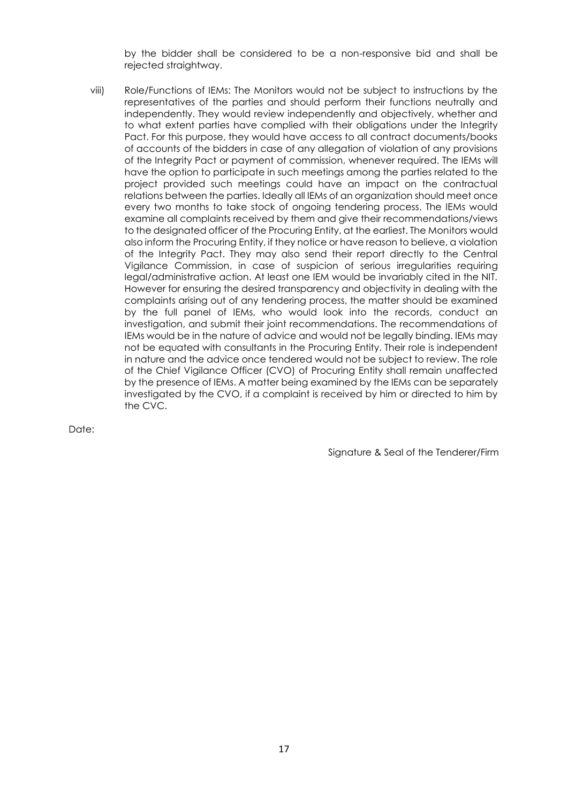by the bidder shall be considered to be a non-responsive bid and shall be rejected straightway.

viii) Role/Functions of IEMs: The Monitors would not be subject to instructions by the representatives of the parties and should perform their functions neutrally and independently. They would review independently and objectively, whether and to what extent parties have complied with their obligations under the Integrity Pact. For this purpose, they would have access to all contract documents/books of accounts of the bidders in case of any allegation of violation of any provisions of the Integrity Pact or payment of commission, whenever required. The IEMs will have the option to participate in such meetings among the parties related to the project provided such meetings could have an impact on the contractual relations between the parties. Ideally all IEMs of an organization should meet once every two months to take stock of ongoing tendering process. The IEMs would examine all complaints received by them and give their recommendations/views to the designated officer of the Procuring Entity, at the earliest. The Monitors would also inform the Procuring Entity, if they notice or have reason to believe, a violation of the Integrity Pact. They may also send their report directly to the Central Vigilance Commission, in case of suspicion of serious irregularities requiring legal/administrative action. At least one IEM would be invariably cited in the NIT. However for ensuring the desired transparency and objectivity in dealing with the complaints arising out of any tendering process, the matter should be examined by the full panel of IEMs, who would look into the records, conduct an investigation, and submit their joint recommendations. The recommendations of IEMs would be in the nature of advice and would not be legally binding. IEMs may not be equated with consultants in the Procuring Entity. Their role is independent in nature and the advice once tendered would not be subject to review. The role of the Chief Vigilance Officer (CVO) of Procuring Entity shall remain unaffected by the presence of IEMs. A matter being examined by the IEMs can be separately investigated by the CVO, if a complaint is received by him or directed to him by the CVC.

Date:

Signature & Seal of the Tenderer/Firm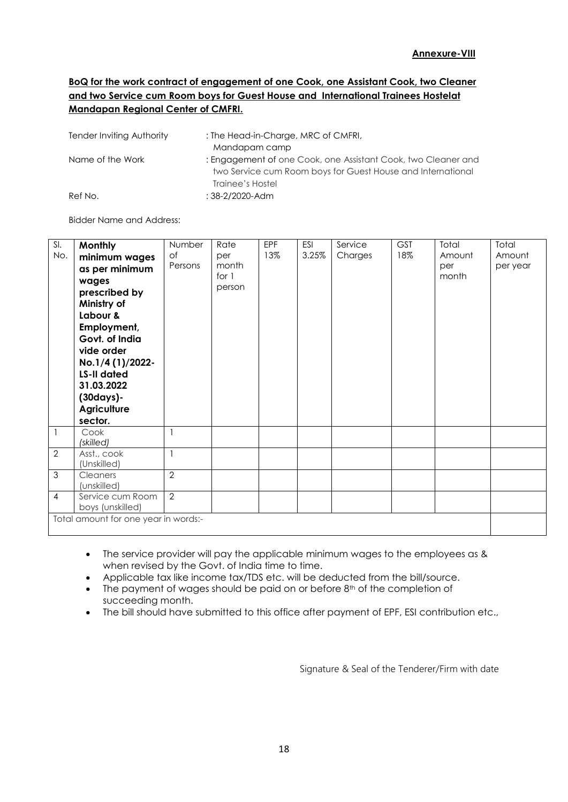## **BoQ for the work contract of engagement of one Cook, one Assistant Cook, two Cleaner and two Service cum Room boys for Guest House and International Trainees Hostelat Mandapan Regional Center of CMFRI.**

| Tender Inviting Authority | : The Head-in-Charge, MRC of CMFRI,<br>Mandapam camp                                                                                             |
|---------------------------|--------------------------------------------------------------------------------------------------------------------------------------------------|
| Name of the Work          | : Engagement of one Cook, one Assistant Cook, two Cleaner and<br>two Service cum Room boys for Guest House and International<br>Trainee's Hostel |
| Ref No.                   | $:38-2/2020$ -Adm                                                                                                                                |

Bidder Name and Address:

| $\overline{\mathsf{S}}$ .<br>No. | <b>Monthly</b><br>minimum wages<br>as per minimum<br>wages<br>prescribed by<br>Ministry of<br>Labour &<br>Employment,<br>Govt. of India<br>vide order<br>No.1/4 (1)/2022-<br>LS-II dated<br>31.03.2022<br>(30days)-<br><b>Agriculture</b><br>sector. | Number<br>of<br>Persons  | Rate<br>per<br>month<br>for 1<br>person | <b>EPF</b><br>13% | ESI<br>3.25% | Service<br>Charges | <b>GST</b><br>18% | Total<br>Amount<br>per<br>month | Total<br>Amount<br>per year |
|----------------------------------|------------------------------------------------------------------------------------------------------------------------------------------------------------------------------------------------------------------------------------------------------|--------------------------|-----------------------------------------|-------------------|--------------|--------------------|-------------------|---------------------------------|-----------------------------|
| $\mathbf{1}$                     | Cook<br>(skilled)                                                                                                                                                                                                                                    | $\mathbf{1}$             |                                         |                   |              |                    |                   |                                 |                             |
| $\overline{2}$                   | Asst., cook<br>(Unskilled)                                                                                                                                                                                                                           | $\overline{\phantom{a}}$ |                                         |                   |              |                    |                   |                                 |                             |
| 3                                | Cleaners<br>(unskilled)                                                                                                                                                                                                                              | $\overline{2}$           |                                         |                   |              |                    |                   |                                 |                             |
| 4                                | Service cum Room<br>boys (unskilled)                                                                                                                                                                                                                 | 2                        |                                         |                   |              |                    |                   |                                 |                             |
|                                  | Total amount for one year in words:-                                                                                                                                                                                                                 |                          |                                         |                   |              |                    |                   |                                 |                             |

• The service provider will pay the applicable minimum wages to the employees as & when revised by the Govt. of India time to time.

- Applicable tax like income tax/TDS etc. will be deducted from the bill/source.
- $\bullet$  The payment of wages should be paid on or before  $8<sup>th</sup>$  of the completion of succeeding month.
- The bill should have submitted to this office after payment of EPF, ESI contribution etc.,

Signature & Seal of the Tenderer/Firm with date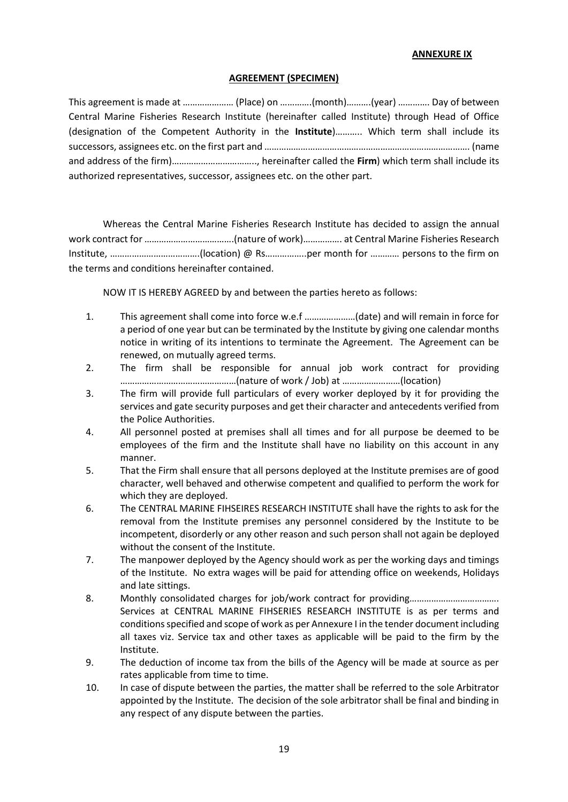#### **ANNEXURE IX**

#### **AGREEMENT (SPECIMEN)**

This agreement is made at ………………… (Place) on ………….(month)……….(year) …………. Day of between Central Marine Fisheries Research Institute (hereinafter called Institute) through Head of Office (designation of the Competent Authority in the **Institute**)……….. Which term shall include its successors, assignees etc. on the first part and …………………………………………………………………………. (name and address of the firm)…………………………….., hereinafter called the **Firm**) which term shall include its authorized representatives, successor, assignees etc. on the other part.

Whereas the Central Marine Fisheries Research Institute has decided to assign the annual work contract for ……………………………….(nature of work)……………. at Central Marine Fisheries Research Institute, ……………………………….(location) @ Rs……………..per month for ………… persons to the firm on the terms and conditions hereinafter contained.

NOW IT IS HEREBY AGREED by and between the parties hereto as follows:

- 1. This agreement shall come into force w.e.f …………………(date) and will remain in force for a period of one year but can be terminated by the Institute by giving one calendar months notice in writing of its intentions to terminate the Agreement. The Agreement can be renewed, on mutually agreed terms.
- 2. The firm shall be responsible for annual job work contract for providing …………………………………………(nature of work / Job) at ……………………(location)
- 3. The firm will provide full particulars of every worker deployed by it for providing the services and gate security purposes and get their character and antecedents verified from the Police Authorities.
- 4. All personnel posted at premises shall all times and for all purpose be deemed to be employees of the firm and the Institute shall have no liability on this account in any manner.
- 5. That the Firm shall ensure that all persons deployed at the Institute premises are of good character, well behaved and otherwise competent and qualified to perform the work for which they are deployed.
- 6. The CENTRAL MARINE FIHSEIRES RESEARCH INSTITUTE shall have the rights to ask for the removal from the Institute premises any personnel considered by the Institute to be incompetent, disorderly or any other reason and such person shall not again be deployed without the consent of the Institute.
- 7. The manpower deployed by the Agency should work as per the working days and timings of the Institute. No extra wages will be paid for attending office on weekends, Holidays and late sittings.
- 8. Monthly consolidated charges for job/work contract for providing………………………………… Services at CENTRAL MARINE FIHSERIES RESEARCH INSTITUTE is as per terms and conditions specified and scope of work as per Annexure I in the tender document including all taxes viz. Service tax and other taxes as applicable will be paid to the firm by the Institute.
- 9. The deduction of income tax from the bills of the Agency will be made at source as per rates applicable from time to time.
- 10. In case of dispute between the parties, the matter shall be referred to the sole Arbitrator appointed by the Institute. The decision of the sole arbitrator shall be final and binding in any respect of any dispute between the parties.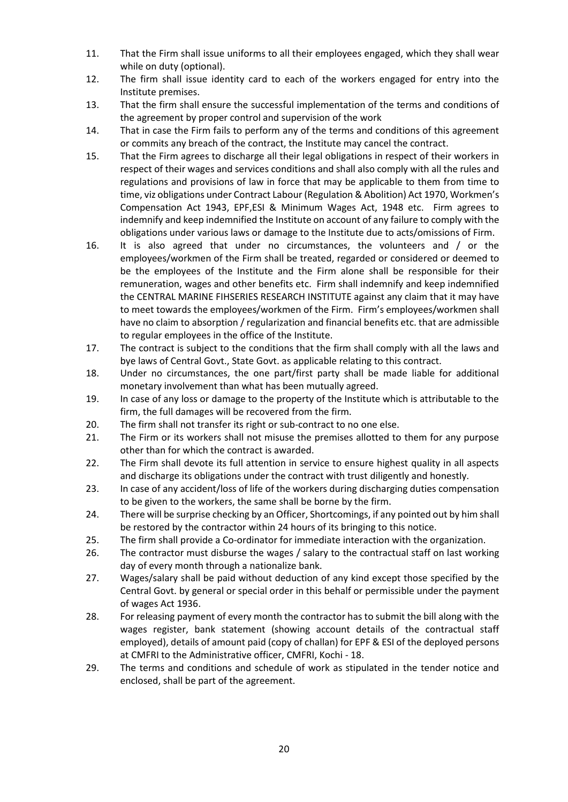- 11. That the Firm shall issue uniforms to all their employees engaged, which they shall wear while on duty (optional).
- 12. The firm shall issue identity card to each of the workers engaged for entry into the Institute premises.
- 13. That the firm shall ensure the successful implementation of the terms and conditions of the agreement by proper control and supervision of the work
- 14. That in case the Firm fails to perform any of the terms and conditions of this agreement or commits any breach of the contract, the Institute may cancel the contract.
- 15. That the Firm agrees to discharge all their legal obligations in respect of their workers in respect of their wages and services conditions and shall also comply with all the rules and regulations and provisions of law in force that may be applicable to them from time to time, viz obligations under Contract Labour (Regulation & Abolition) Act 1970, Workmen's Compensation Act 1943, EPF,ESI & Minimum Wages Act, 1948 etc. Firm agrees to indemnify and keep indemnified the Institute on account of any failure to comply with the obligations under various laws or damage to the Institute due to acts/omissions of Firm.
- 16. It is also agreed that under no circumstances, the volunteers and / or the employees/workmen of the Firm shall be treated, regarded or considered or deemed to be the employees of the Institute and the Firm alone shall be responsible for their remuneration, wages and other benefits etc. Firm shall indemnify and keep indemnified the CENTRAL MARINE FIHSERIES RESEARCH INSTITUTE against any claim that it may have to meet towards the employees/workmen of the Firm. Firm's employees/workmen shall have no claim to absorption / regularization and financial benefits etc. that are admissible to regular employees in the office of the Institute.
- 17. The contract is subject to the conditions that the firm shall comply with all the laws and bye laws of Central Govt., State Govt. as applicable relating to this contract.
- 18. Under no circumstances, the one part/first party shall be made liable for additional monetary involvement than what has been mutually agreed.
- 19. In case of any loss or damage to the property of the Institute which is attributable to the firm, the full damages will be recovered from the firm.
- 20. The firm shall not transfer its right or sub-contract to no one else.
- 21. The Firm or its workers shall not misuse the premises allotted to them for any purpose other than for which the contract is awarded.
- 22. The Firm shall devote its full attention in service to ensure highest quality in all aspects and discharge its obligations under the contract with trust diligently and honestly.
- 23. In case of any accident/loss of life of the workers during discharging duties compensation to be given to the workers, the same shall be borne by the firm.
- 24. There will be surprise checking by an Officer, Shortcomings, if any pointed out by him shall be restored by the contractor within 24 hours of its bringing to this notice.
- 25. The firm shall provide a Co-ordinator for immediate interaction with the organization.
- 26. The contractor must disburse the wages / salary to the contractual staff on last working day of every month through a nationalize bank.
- 27. Wages/salary shall be paid without deduction of any kind except those specified by the Central Govt. by general or special order in this behalf or permissible under the payment of wages Act 1936.
- 28. For releasing payment of every month the contractor has to submit the bill along with the wages register, bank statement (showing account details of the contractual staff employed), details of amount paid (copy of challan) for EPF & ESI of the deployed persons at CMFRI to the Administrative officer, CMFRI, Kochi - 18.
- 29. The terms and conditions and schedule of work as stipulated in the tender notice and enclosed, shall be part of the agreement.